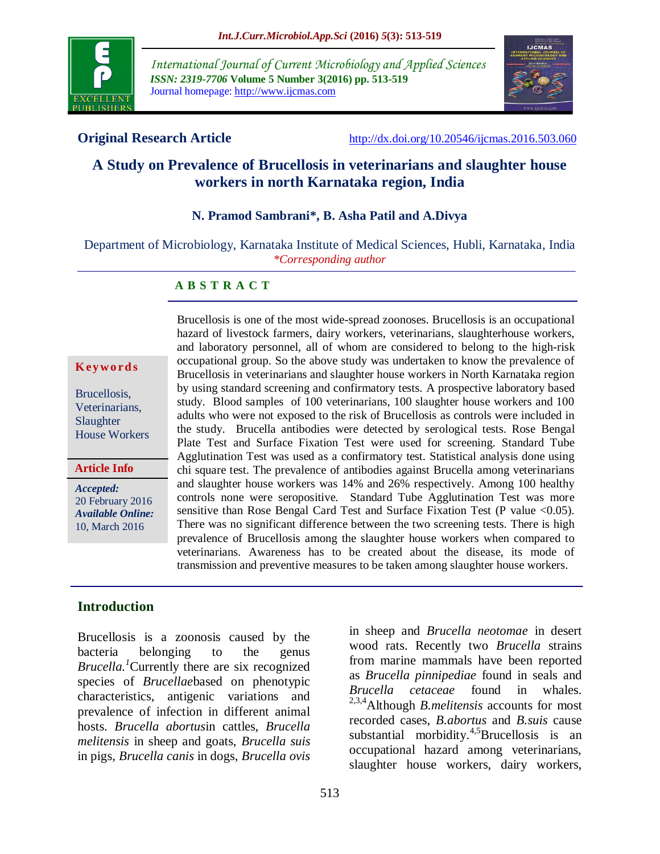

*International Journal of Current Microbiology and Applied Sciences ISSN: 2319-7706* **Volume 5 Number 3(2016) pp. 513-519** Journal homepage: http://www.ijcmas.com



**Original Research Article** <http://dx.doi.org/10.20546/ijcmas.2016.503.060>

# **A Study on Prevalence of Brucellosis in veterinarians and slaughter house workers in north Karnataka region, India**

#### **N. Pramod Sambrani\*, B. Asha Patil and A.Divya**

Department of Microbiology, Karnataka Institute of Medical Sciences, Hubli, Karnataka, India *\*Corresponding author*

#### **A B S T R A C T**

#### **K ey w o rd s**

Brucellosis, Veterinarians, Slaughter House Workers

**Article Info**

*Accepted:*  20 February 2016 *Available Online:* 10, March 2016

Brucellosis is one of the most wide-spread zoonoses. Brucellosis is an occupational hazard of livestock farmers, dairy workers, veterinarians, slaughterhouse workers, and laboratory personnel, all of whom are considered to belong to the high-risk occupational group. So the above study was undertaken to know the prevalence of Brucellosis in veterinarians and slaughter house workers in North Karnataka region by using standard screening and confirmatory tests. A prospective laboratory based study. Blood samples of 100 veterinarians, 100 slaughter house workers and 100 adults who were not exposed to the risk of Brucellosis as controls were included in the study. Brucella antibodies were detected by serological tests. Rose Bengal Plate Test and Surface Fixation Test were used for screening. Standard Tube Agglutination Test was used as a confirmatory test. Statistical analysis done using chi square test. The prevalence of antibodies against Brucella among veterinarians and slaughter house workers was 14% and 26% respectively. Among 100 healthy controls none were seropositive. Standard Tube Agglutination Test was more sensitive than Rose Bengal Card Test and Surface Fixation Test (P value <0.05). There was no significant difference between the two screening tests. There is high prevalence of Brucellosis among the slaughter house workers when compared to veterinarians. Awareness has to be created about the disease, its mode of transmission and preventive measures to be taken among slaughter house workers.

#### **Introduction**

Brucellosis is a zoonosis caused by the bacteria belonging to the genus *Brucella.<sup>1</sup>*Currently there are six recognized species of *Brucellae*based on phenotypic characteristics, antigenic variations and prevalence of infection in different animal hosts. *Brucella abortus*in cattles, *Brucella melitensis* in sheep and goats, *Brucella suis* in pigs, *Brucella canis* in dogs, *Brucella ovis*

in sheep and *Brucella neotomae* in desert wood rats. Recently two *Brucella* strains from marine mammals have been reported as *Brucella pinnipediae* found in seals and *Brucella cetaceae* found in whales. 2,3,4Although *B.melitensis* accounts for most recorded cases, *B.abortus* and *B.suis* cause substantial morbidity.<sup>4,5</sup>Brucellosis is an occupational hazard among veterinarians, slaughter house workers, dairy workers,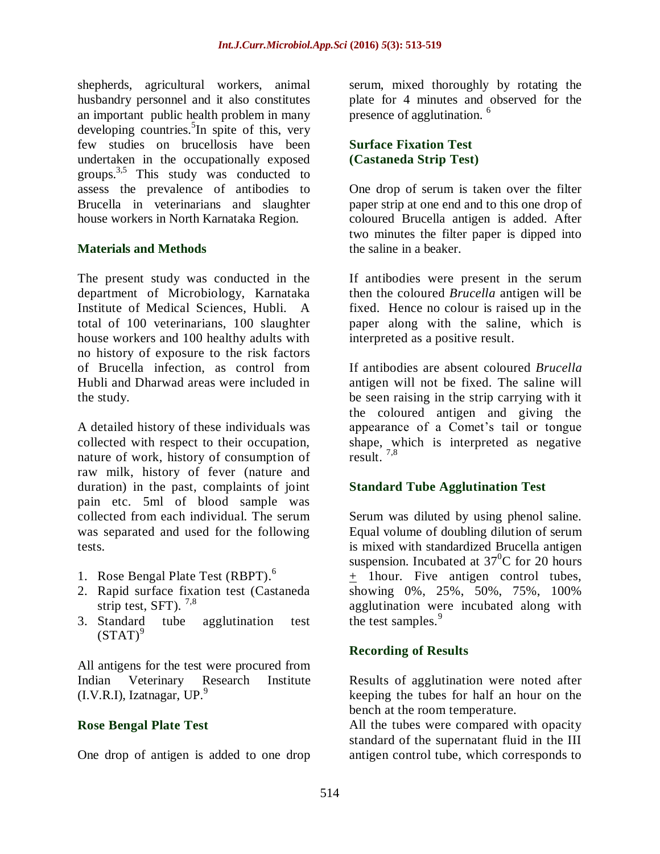shepherds, agricultural workers, animal husbandry personnel and it also constitutes an important public health problem in many developing countries.<sup>5</sup>In spite of this, very few studies on brucellosis have been undertaken in the occupationally exposed groups. $3,5$  This study was conducted to assess the prevalence of antibodies to Brucella in veterinarians and slaughter house workers in North Karnataka Region.

#### **Materials and Methods**

The present study was conducted in the department of Microbiology, Karnataka Institute of Medical Sciences, Hubli. A total of 100 veterinarians, 100 slaughter house workers and 100 healthy adults with no history of exposure to the risk factors of Brucella infection, as control from Hubli and Dharwad areas were included in the study.

A detailed history of these individuals was collected with respect to their occupation, nature of work, history of consumption of raw milk, history of fever (nature and duration) in the past, complaints of joint pain etc. 5ml of blood sample was collected from each individual. The serum was separated and used for the following tests.

- 1. Rose Bengal Plate Test (RBPT).<sup>6</sup>
- 2. Rapid surface fixation test (Castaneda strip test, SFT).  $7,8$
- 3. Standard tube agglutination test  $(STAT)^9$

All antigens for the test were procured from Indian Veterinary Research Institute  $(I.V.R.I)$ , Izatnagar, UP.<sup>9</sup>

#### **Rose Bengal Plate Test**

One drop of antigen is added to one drop

serum, mixed thoroughly by rotating the plate for 4 minutes and observed for the presence of agglutination. <sup>6</sup>

#### **Surface Fixation Test (Castaneda Strip Test)**

One drop of serum is taken over the filter paper strip at one end and to this one drop of coloured Brucella antigen is added. After two minutes the filter paper is dipped into the saline in a beaker.

If antibodies were present in the serum then the coloured *Brucella* antigen will be fixed. Hence no colour is raised up in the paper along with the saline, which is interpreted as a positive result.

If antibodies are absent coloured *Brucella* antigen will not be fixed. The saline will be seen raising in the strip carrying with it the coloured antigen and giving the appearance of a Comet's tail or tongue shape, which is interpreted as negative result.  $7,8$ 

#### **Standard Tube Agglutination Test**

Serum was diluted by using phenol saline. Equal volume of doubling dilution of serum is mixed with standardized Brucella antigen suspension. Incubated at  $37^{\circ}$ C for 20 hours + 1hour. Five antigen control tubes, showing 0%, 25%, 50%, 75%, 100% agglutination were incubated along with the test samples.<sup>9</sup>

## **Recording of Results**

Results of agglutination were noted after keeping the tubes for half an hour on the bench at the room temperature.

All the tubes were compared with opacity standard of the supernatant fluid in the III antigen control tube, which corresponds to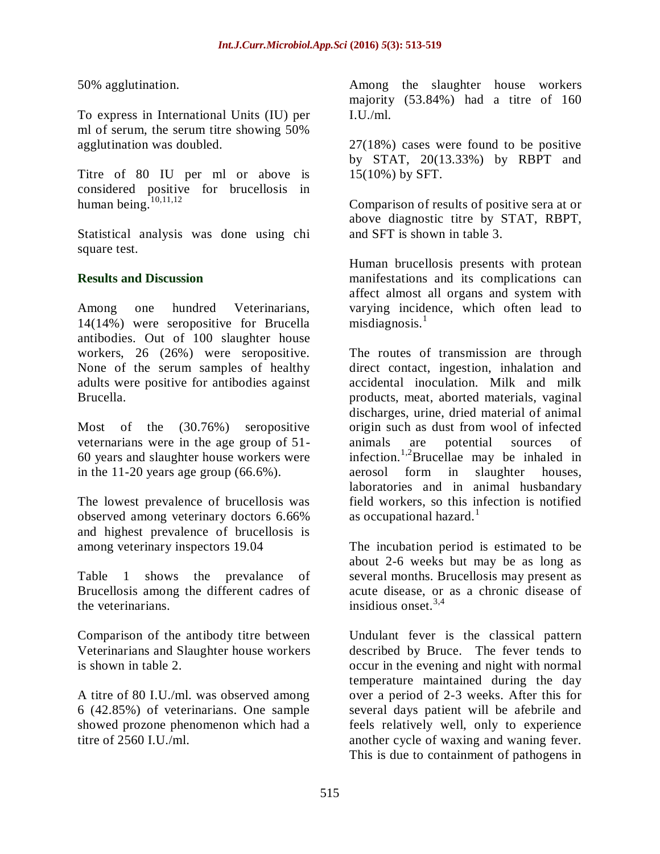50% agglutination.

To express in International Units (IU) per ml of serum, the serum titre showing 50% agglutination was doubled.

Titre of 80 IU per ml or above is considered positive for brucellosis in human being. $\overline{10,11,12}$ 

Statistical analysis was done using chi square test.

#### **Results and Discussion**

Among one hundred Veterinarians, 14(14%) were seropositive for Brucella antibodies. Out of 100 slaughter house workers, 26 (26%) were seropositive. None of the serum samples of healthy adults were positive for antibodies against Brucella.

Most of the (30.76%) seropositive veternarians were in the age group of 51- 60 years and slaughter house workers were in the 11-20 years age group  $(66.6\%)$ .

The lowest prevalence of brucellosis was observed among veterinary doctors 6.66% and highest prevalence of brucellosis is among veterinary inspectors 19.04

Table 1 shows the prevalance of Brucellosis among the different cadres of the veterinarians.

Comparison of the antibody titre between Veterinarians and Slaughter house workers is shown in table 2.

A titre of 80 I.U./ml. was observed among 6 (42.85%) of veterinarians. One sample showed prozone phenomenon which had a titre of 2560 I.U./ml.

Among the slaughter house workers majority (53.84%) had a titre of 160  $I.IJ./ml.$ 

27(18%) cases were found to be positive by STAT, 20(13.33%) by RBPT and 15(10%) by SFT.

Comparison of results of positive sera at or above diagnostic titre by STAT, RBPT, and SFT is shown in table 3.

Human brucellosis presents with protean manifestations and its complications can affect almost all organs and system with varying incidence, which often lead to  $misdiagnosis.<sup>1</sup>$ 

The routes of transmission are through direct contact, ingestion, inhalation and accidental inoculation. Milk and milk products, meat, aborted materials, vaginal discharges, urine, dried material of animal origin such as dust from wool of infected animals are potential sources of infection.<sup>1,2</sup>Brucellae may be inhaled in aerosol form in slaughter houses, laboratories and in animal husbandary field workers, so this infection is notified as occupational hazard. $<sup>1</sup>$ </sup>

The incubation period is estimated to be about 2-6 weeks but may be as long as several months. Brucellosis may present as acute disease, or as a chronic disease of insidious onset. $3,4$ 

Undulant fever is the classical pattern described by Bruce. The fever tends to occur in the evening and night with normal temperature maintained during the day over a period of 2-3 weeks. After this for several days patient will be afebrile and feels relatively well, only to experience another cycle of waxing and waning fever. This is due to containment of pathogens in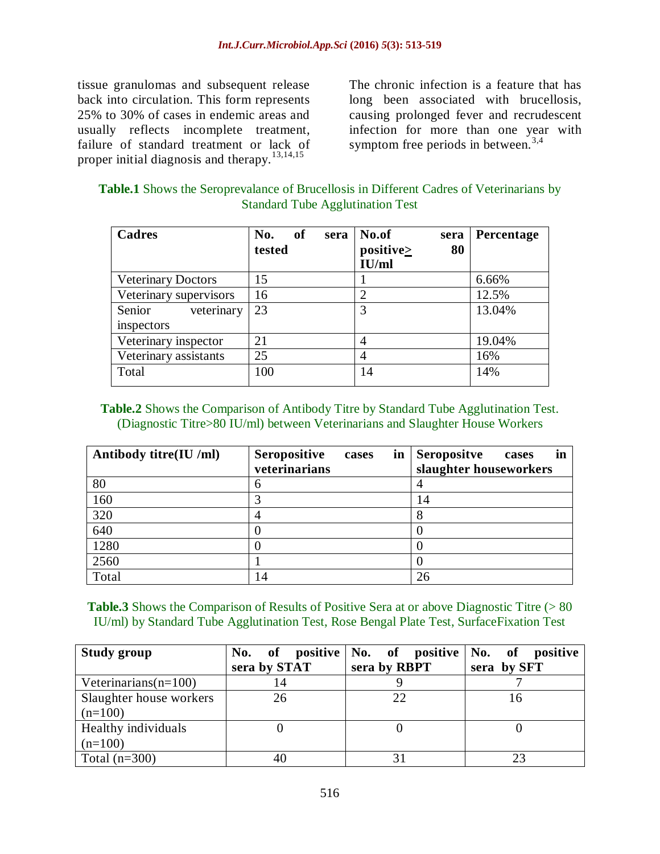tissue granulomas and subsequent release back into circulation. This form represents 25% to 30% of cases in endemic areas and usually reflects incomplete treatment, failure of standard treatment or lack of proper initial diagnosis and therapy.<sup>13,14,15</sup>

The chronic infection is a feature that has long been associated with brucellosis, causing prolonged fever and recrudescent infection for more than one year with symptom free periods in between.<sup>3,4</sup>

| <b>Table.1</b> Shows the Seroprevalance of Brucellosis in Different Cadres of Veterinarians by |  |
|------------------------------------------------------------------------------------------------|--|
| <b>Standard Tube Agglutination Test</b>                                                        |  |

| <b>Cadres</b>                      | No.<br>of<br>sera<br>tested | No.of<br>sera<br>positive<br>80<br>IU/ml | <b>Percentage</b> |
|------------------------------------|-----------------------------|------------------------------------------|-------------------|
| <b>Veterinary Doctors</b>          | 15                          |                                          | 6.66%             |
| Veterinary supervisors             | 16                          | ↑                                        | 12.5%             |
| Senior<br>veterinary<br>inspectors | 23                          | 3                                        | 13.04%            |
| Veterinary inspector               | 21                          | 4                                        | 19.04%            |
| Veterinary assistants              | 25                          | 4                                        | 16%               |
| Total                              | 100                         | 14                                       | 14%               |

#### **Table.2** Shows the Comparison of Antibody Titre by Standard Tube Agglutination Test. (Diagnostic Titre>80 IU/ml) between Veterinarians and Slaughter House Workers

| Antibody titre(IU /ml) | <b>Seropositive</b><br>in<br>cases<br>veterinarians | in<br><b>Seropositve</b><br>cases<br>slaughter houseworkers |
|------------------------|-----------------------------------------------------|-------------------------------------------------------------|
|                        |                                                     |                                                             |
| 80                     | n                                                   |                                                             |
| 160                    |                                                     | 14                                                          |
| 320                    |                                                     |                                                             |
| 640                    |                                                     |                                                             |
| 1280                   |                                                     |                                                             |
| 2560                   |                                                     |                                                             |
| Total                  | 14                                                  | 26                                                          |

**Table.3** Shows the Comparison of Results of Positive Sera at or above Diagnostic Titre (> 80 IU/ml) by Standard Tube Agglutination Test, Rose Bengal Plate Test, SurfaceFixation Test

| <b>Study group</b>      | No.            | of positive No. of positive No. of positive |             |
|-------------------------|----------------|---------------------------------------------|-------------|
|                         | sera by STAT   | sera by RBPT                                | sera by SFT |
| Veterinarians $(n=100)$ | $\overline{4}$ |                                             |             |
| Slaughter house workers | 26             | 22                                          |             |
| $(n=100)$               |                |                                             |             |
| Healthy individuals     |                |                                             |             |
| $(n=100)$               |                |                                             |             |
| Total $(n=300)$         | 40             |                                             |             |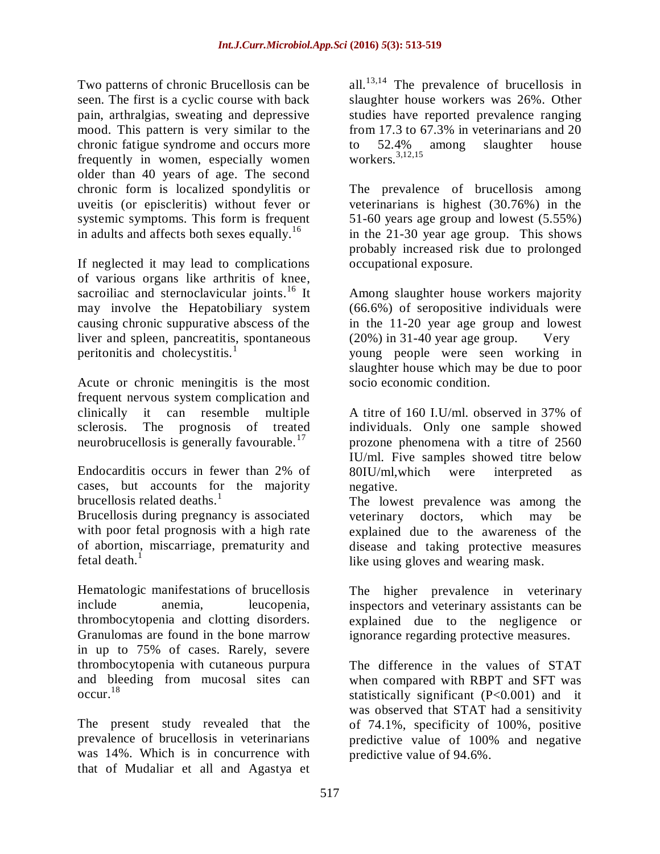Two patterns of chronic Brucellosis can be seen. The first is a cyclic course with back pain, arthralgias, sweating and depressive mood. This pattern is very similar to the chronic fatigue syndrome and occurs more frequently in women, especially women older than 40 years of age. The second chronic form is localized spondylitis or uveitis (or episcleritis) without fever or systemic symptoms. This form is frequent in adults and affects both sexes equally. $16$ 

If neglected it may lead to complications of various organs like arthritis of knee, sacroiliac and sternoclavicular joints.<sup>16</sup> It may involve the Hepatobiliary system causing chronic suppurative abscess of the liver and spleen, pancreatitis, spontaneous peritonitis and cholecystitis.<sup>1</sup>

Acute or chronic meningitis is the most frequent nervous system complication and clinically it can resemble multiple sclerosis. The prognosis of treated neurobrucellosis is generally favourable.<sup>17</sup>

Endocarditis occurs in fewer than 2% of cases, but accounts for the majority brucellosis related deaths. $<sup>1</sup>$ </sup>

Brucellosis during pregnancy is associated with poor fetal prognosis with a high rate of abortion, miscarriage, prematurity and fetal death. $<sup>1</sup>$ </sup>

Hematologic manifestations of brucellosis include anemia, leucopenia, thrombocytopenia and clotting disorders. Granulomas are found in the bone marrow in up to 75% of cases. Rarely, severe thrombocytopenia with cutaneous purpura and bleeding from mucosal sites can occur.<sup>18</sup>

The present study revealed that the prevalence of brucellosis in veterinarians was 14%. Which is in concurrence with that of Mudaliar et all and Agastya et all.<sup>13,14</sup> The prevalence of brucellosis in slaughter house workers was 26%. Other studies have reported prevalence ranging from 17.3 to 67.3% in veterinarians and 20 to 52.4% among slaughter house workers.3,12,15

The prevalence of brucellosis among veterinarians is highest (30.76%) in the 51-60 years age group and lowest (5.55%) in the 21-30 year age group. This shows probably increased risk due to prolonged occupational exposure.

Among slaughter house workers majority (66.6%) of seropositive individuals were in the 11-20 year age group and lowest (20%) in 31-40 year age group. Very young people were seen working in slaughter house which may be due to poor socio economic condition.

A titre of 160 I.U/ml. observed in 37% of individuals. Only one sample showed prozone phenomena with a titre of 2560 IU/ml. Five samples showed titre below 80IU/ml,which were interpreted as negative.

The lowest prevalence was among the veterinary doctors, which may be explained due to the awareness of the disease and taking protective measures like using gloves and wearing mask.

The higher prevalence in veterinary inspectors and veterinary assistants can be explained due to the negligence or ignorance regarding protective measures.

The difference in the values of STAT when compared with RBPT and SFT was statistically significant (P<0.001) and it was observed that STAT had a sensitivity of 74.1%, specificity of 100%, positive predictive value of 100% and negative predictive value of 94.6%.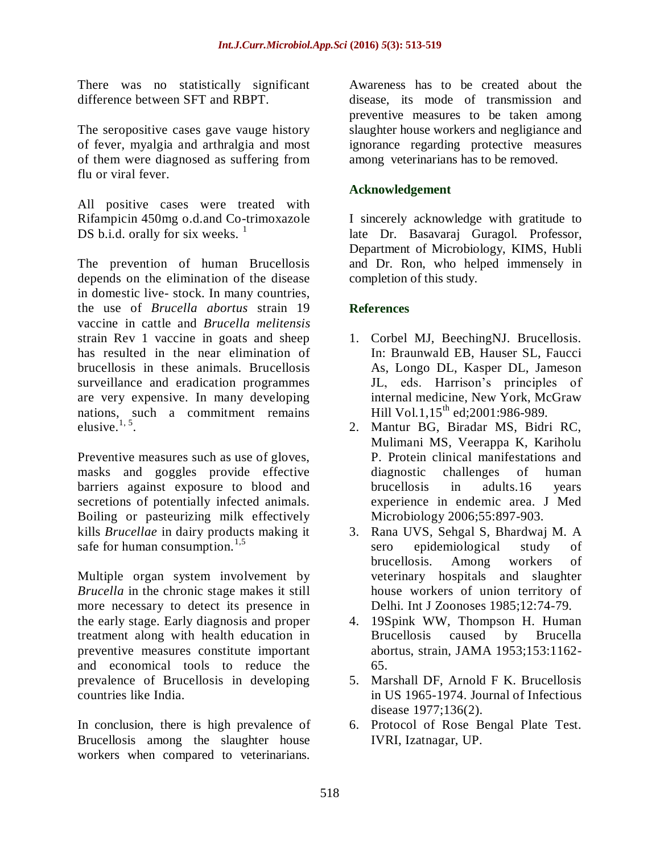There was no statistically significant difference between SFT and RBPT.

The seropositive cases gave vauge history of fever, myalgia and arthralgia and most of them were diagnosed as suffering from flu or viral fever.

All positive cases were treated with Rifampicin 450mg o.d.and Co-trimoxazole DS b.i.d. orally for six weeks.  $<sup>1</sup>$ </sup>

The prevention of human Brucellosis depends on the elimination of the disease in domestic live- stock. In many countries, the use of *Brucella abortus* strain 19 vaccine in cattle and *Brucella melitensis* strain Rev 1 vaccine in goats and sheep has resulted in the near elimination of brucellosis in these animals. Brucellosis surveillance and eradication programmes are very expensive. In many developing nations, such a commitment remains elusive. $1, 5$ .

Preventive measures such as use of gloves, masks and goggles provide effective barriers against exposure to blood and secretions of potentially infected animals. Boiling or pasteurizing milk effectively kills *Brucellae* in dairy products making it safe for human consumption.<sup>1,5</sup>

Multiple organ system involvement by *Brucella* in the chronic stage makes it still more necessary to detect its presence in the early stage. Early diagnosis and proper treatment along with health education in preventive measures constitute important and economical tools to reduce the prevalence of Brucellosis in developing countries like India.

In conclusion, there is high prevalence of Brucellosis among the slaughter house workers when compared to veterinarians.

Awareness has to be created about the disease, its mode of transmission and preventive measures to be taken among slaughter house workers and negligiance and ignorance regarding protective measures among veterinarians has to be removed.

#### **Acknowledgement**

I sincerely acknowledge with gratitude to late Dr. Basavaraj Guragol. Professor, Department of Microbiology, KIMS, Hubli and Dr. Ron, who helped immensely in completion of this study.

### **References**

- 1. Corbel MJ, BeechingNJ. Brucellosis. In: Braunwald EB, Hauser SL, Faucci As, Longo DL, Kasper DL, Jameson JL, eds. Harrison's principles of internal medicine, New York, McGraw Hill Vol.1,  $15^{th}$  ed:2001:986-989.
- 2. Mantur BG, Biradar MS, Bidri RC, Mulimani MS, Veerappa K, Kariholu P. Protein clinical manifestations and diagnostic challenges of human brucellosis in adults.16 years experience in endemic area. J Med Microbiology 2006;55:897-903.
- 3. Rana UVS, Sehgal S, Bhardwaj M. A sero epidemiological study of brucellosis. Among workers of veterinary hospitals and slaughter house workers of union territory of Delhi. Int J Zoonoses 1985;12:74-79.
- 4. 19Spink WW, Thompson H. Human Brucellosis caused by Brucella abortus, strain, JAMA 1953;153:1162- 65.
- 5. Marshall DF, Arnold F K. Brucellosis in US 1965-1974. Journal of Infectious disease 1977;136(2).
- 6. Protocol of Rose Bengal Plate Test. IVRI, Izatnagar, UP.